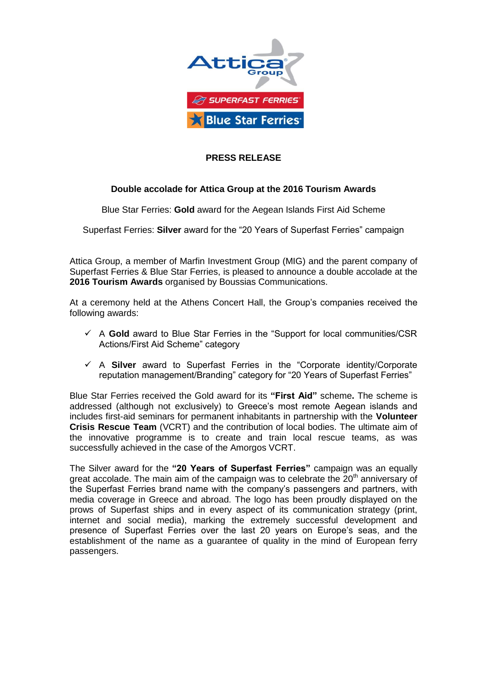

## **PRESS RELEASE**

## **Double accolade for Attica Group at the 2016 Tourism Awards**

Blue Star Ferries: **Gold** award for the Aegean Islands First Aid Scheme

Superfast Ferries: **Silver** award for the "20 Years of Superfast Ferries" campaign

Attica Group, a member of Marfin Investment Group (MIG) and the parent company of Superfast Ferries & Blue Star Ferries, is pleased to announce a double accolade at the **2016 Tourism Awards** organised by Boussias Communications.

At a ceremony held at the Athens Concert Hall, the Group's companies received the following awards:

- $\checkmark$  A Gold award to Blue Star Ferries in the "Support for local communities/CSR Actions/First Aid Scheme" category
- A **Silver** award to Superfast Ferries in the "Corporate identity/Corporate reputation management/Branding" category for "20 Years of Superfast Ferries"

Blue Star Ferries received the Gold award for its **"First Aid"** scheme**.** The scheme is addressed (although not exclusively) to Greece's most remote Aegean islands and includes first-aid seminars for permanent inhabitants in partnership with the **Volunteer Crisis Rescue Team** (VCRT) and the contribution of local bodies. The ultimate aim of the innovative programme is to create and train local rescue teams, as was successfully achieved in the case of the Amorgos VCRT.

The Silver award for the **"20 Years of Superfast Ferries"** campaign was an equally great accolade. The main aim of the campaign was to celebrate the  $20<sup>th</sup>$  anniversary of the Superfast Ferries brand name with the company's passengers and partners, with media coverage in Greece and abroad. The logo has been proudly displayed on the prows of Superfast ships and in every aspect of its communication strategy (print, internet and social media), marking the extremely successful development and presence of Superfast Ferries over the last 20 years on Europe's seas, and the establishment of the name as a guarantee of quality in the mind of European ferry passengers.